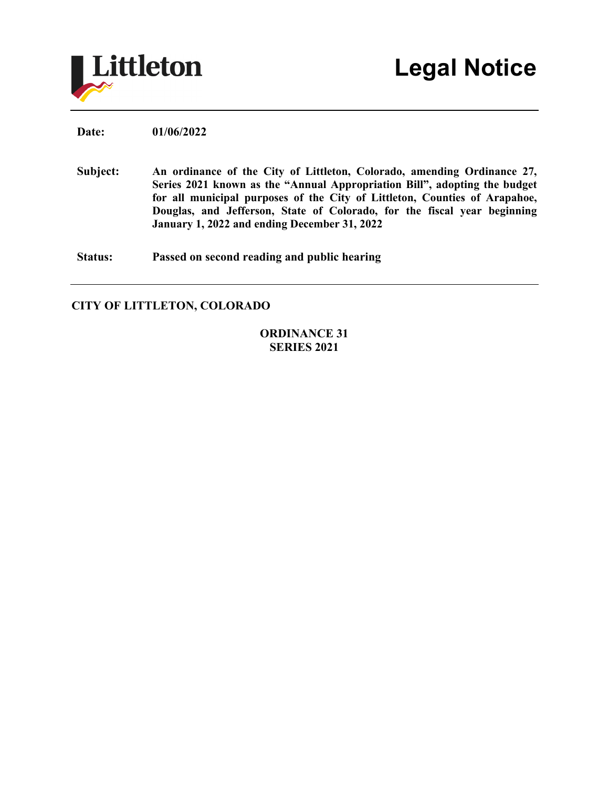

**Date: 01/06/2022**

**Subject: An ordinance of the City of Littleton, Colorado, amending Ordinance 27, Series 2021 known as the "Annual Appropriation Bill", adopting the budget for all municipal purposes of the City of Littleton, Counties of Arapahoe, Douglas, and Jefferson, State of Colorado, for the fiscal year beginning January 1, 2022 and ending December 31, 2022**

**Status: Passed on second reading and public hearing**

## **CITY OF LITTLETON, COLORADO**

## **ORDINANCE 31 SERIES 2021**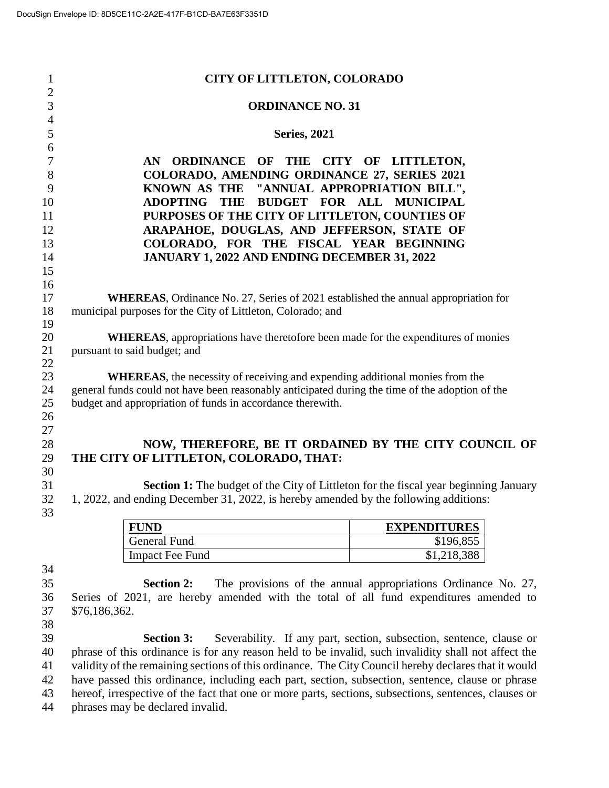| 1              | <b>CITY OF LITTLETON, COLORADO</b>                                                              |                     |  |
|----------------|-------------------------------------------------------------------------------------------------|---------------------|--|
| $\overline{2}$ |                                                                                                 |                     |  |
| 3              | <b>ORDINANCE NO. 31</b>                                                                         |                     |  |
| $\overline{4}$ |                                                                                                 |                     |  |
| 5              | <b>Series, 2021</b>                                                                             |                     |  |
| 6              |                                                                                                 |                     |  |
| 7              | AN ORDINANCE OF THE CITY OF LITTLETON,                                                          |                     |  |
| 8              | COLORADO, AMENDING ORDINANCE 27, SERIES 2021                                                    |                     |  |
| 9              | KNOWN AS THE "ANNUAL APPROPRIATION BILL",                                                       |                     |  |
| 10             | THE BUDGET FOR<br><b>ADOPTING</b>                                                               | ALL MUNICIPAL       |  |
| 11             | PURPOSES OF THE CITY OF LITTLETON, COUNTIES OF                                                  |                     |  |
| 12             | ARAPAHOE, DOUGLAS, AND JEFFERSON, STATE OF                                                      |                     |  |
| 13             | COLORADO, FOR THE FISCAL YEAR BEGINNING                                                         |                     |  |
| 14             | JANUARY 1, 2022 AND ENDING DECEMBER 31, 2022                                                    |                     |  |
| 15             |                                                                                                 |                     |  |
| 16             |                                                                                                 |                     |  |
| 17             | <b>WHEREAS,</b> Ordinance No. 27, Series of 2021 established the annual appropriation for       |                     |  |
| 18             | municipal purposes for the City of Littleton, Colorado; and                                     |                     |  |
| 19             |                                                                                                 |                     |  |
| 20             | <b>WHEREAS</b> , appropriations have theretofore been made for the expenditures of monies       |                     |  |
| 21             | pursuant to said budget; and                                                                    |                     |  |
| 22             |                                                                                                 |                     |  |
| 23             | <b>WHEREAS</b> , the necessity of receiving and expending additional monies from the            |                     |  |
| 24             | general funds could not have been reasonably anticipated during the time of the adoption of the |                     |  |
| 25             | budget and appropriation of funds in accordance therewith.                                      |                     |  |
| 26             |                                                                                                 |                     |  |
| 27             |                                                                                                 |                     |  |
| 28             | NOW, THEREFORE, BE IT ORDAINED BY THE CITY COUNCIL OF                                           |                     |  |
| 29             | THE CITY OF LITTLETON, COLORADO, THAT:                                                          |                     |  |
| 30             |                                                                                                 |                     |  |
| 31             | <b>Section 1:</b> The budget of the City of Littleton for the fiscal year beginning January     |                     |  |
| 32             | 1, 2022, and ending December 31, 2022, is hereby amended by the following additions:            |                     |  |
| 33             |                                                                                                 |                     |  |
|                | <b>FUND</b>                                                                                     | <b>EXPENDITURES</b> |  |
|                | <b>General Fund</b>                                                                             | \$196,855           |  |
|                | <b>Impact Fee Fund</b>                                                                          | \$1,218,388         |  |
| 34             |                                                                                                 |                     |  |

 **Section 2:** The provisions of the annual appropriations Ordinance No. 27, Series of 2021, are hereby amended with the total of all fund expenditures amended to \$76,186,362.

 **Section 3:** Severability. If any part, section, subsection, sentence, clause or phrase of this ordinance is for any reason held to be invalid, such invalidity shall not affect the validity of the remaining sections of this ordinance. The City Council hereby declares that it would have passed this ordinance, including each part, section, subsection, sentence, clause or phrase hereof, irrespective of the fact that one or more parts, sections, subsections, sentences, clauses or phrases may be declared invalid.